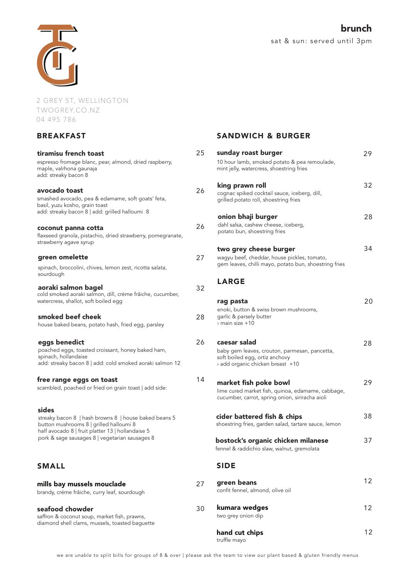

2 GREY ST, WELLINGTON TWOGREY.CO.NZ 04 495 786

### BREAKFAST

| tiramisu french toast                                                                                                                                          | 25 | Sι                  |
|----------------------------------------------------------------------------------------------------------------------------------------------------------------|----|---------------------|
| espresso fromage blanc, pear, almond, dried raspberry,<br>maple, valrhona gaunaja<br>add: streaky bacon 8                                                      |    | 10<br>m             |
|                                                                                                                                                                |    | ki                  |
| avocado toast<br>smashed avocado, pea & edamame, soft goats' feta,<br>basil, yuzu kosho, grain toast                                                           | 26 | C<br>gı             |
| add: streaky bacon 8   add: grilled halloumi 8                                                                                                                 |    | o                   |
| coconut panna cotta<br>flaxseed granola, pistachio, dried strawberry, pomegranate,<br>strawberry agave syrup                                                   | 26 | di<br>p             |
| green omelette                                                                                                                                                 | 27 | t۱<br>W             |
| spinach, broccolini, chives, lemon zest, ricotta salata,<br>sourdough                                                                                          |    | g٥                  |
| aoraki salmon bagel<br>cold smoked aoraki salmon, dill, créme frâiche, cucumber,<br>watercress, shallot, soft boiled egg                                       | 32 | L                   |
|                                                                                                                                                                |    | ra<br>er            |
| smoked beef cheek<br>house baked beans, potato hash, fried egg, parsley                                                                                        | 28 | g<br>> I            |
| eggs benedict<br>poached eggs, toasted croissant, honey baked ham,<br>spinach, hollandaise<br>add: streaky bacon 8   add: cold smoked aoraki salmon 12         | 26 | C<br>ba<br>SC<br>λć |
| free range eggs on toast<br>scambled, poached or fried on grain toast   add side:                                                                              | 14 | m<br>lir<br>СL      |
| sides<br>streaky bacon 8   hash browns 8   house baked beans 5<br>button mushrooms 8   grilled halloumi 8<br>half avocado 8   fruit platter 13   hollandaise 5 |    | ci<br>sh            |
| pork & sage sausages 8   vegetarian sausages 8                                                                                                                 |    | b٥<br>fer           |
| <b>SMALL</b>                                                                                                                                                   |    | S                   |
| mills bay mussels mouclade<br>brandy, créme frâiche, curry leaf, sourdough                                                                                     | 27 | g<br>CC             |
| seafood chowder<br>saffron & coconut soup, market fish, prawns,<br>diamond shell clams, mussels, toasted baguette                                              | 30 | k١<br>tw            |
|                                                                                                                                                                |    | h                   |

### SANDWICH & BURGER

| 5 | sunday roast burger                                                                                                               | 29 |
|---|-----------------------------------------------------------------------------------------------------------------------------------|----|
|   | 10 hour lamb, smoked potato & pea remoulade,<br>mint jelly, watercress, shoestring fries                                          |    |
| 6 | king prawn roll<br>cognac spiked cocktail sauce, iceberg, dill,                                                                   | 32 |
|   | grilled potato roll, shoestring fries                                                                                             |    |
| 6 | onion bhaji burger<br>dahl salsa, cashew cheese, iceberg,<br>potato bun, shoestring fries                                         | 28 |
|   | two grey cheese burger<br>wagyu beef, cheddar, house pickles, tomato,<br>gem leaves, chilli mayo, potato bun, shoestring fries    | 34 |
|   | <b>LARGE</b>                                                                                                                      |    |
| 8 | rag pasta<br>enoki, button & swiss brown mushrooms,<br>garlic & parsely butter                                                    | 20 |
|   | $>$ main size $+10$                                                                                                               |    |
| 6 | caesar salad<br>baby gem leaves, crouton, parmesan, pancetta,<br>soft boiled egg, ortiz anchovy<br>add organic chicken breast +10 | 28 |
| 4 | market fish poke bowl<br>lime cured market fish, quinoa, edamame, cabbage,<br>cucumber, carrot, spring onion, siriracha aioli     | 29 |
|   | cider battered fish & chips<br>shoestring fries, garden salad, tartare sauce, lemon                                               | 38 |
|   | bostock's organic chicken milanese<br>fennel & raddichio slaw, walnut, gremolata                                                  | 37 |
|   | <b>SIDE</b>                                                                                                                       |    |
|   | green beans<br>confit fennel, almond, olive oil                                                                                   | 12 |
| D | kumara wedges<br>two grey onion dip                                                                                               | 12 |
|   | hand cut chips                                                                                                                    | 12 |

truffle mayo